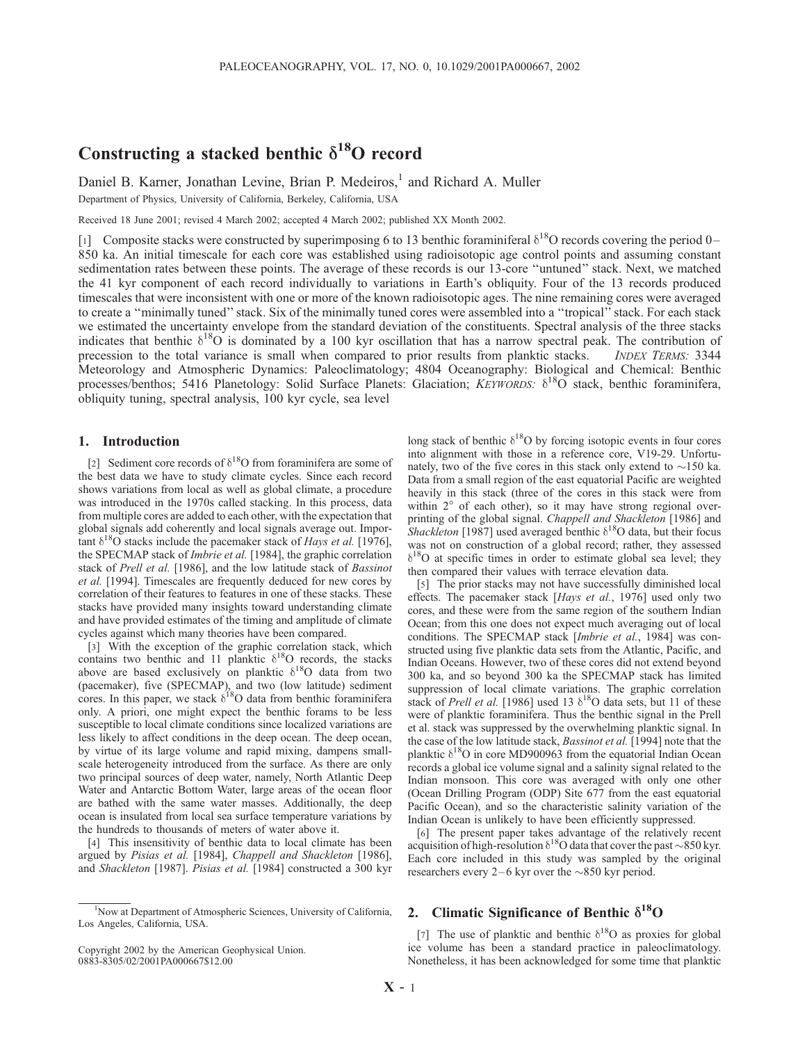# Constructing a stacked benthic  $\delta^{18}$ O record

Daniel B. Karner, Jonathan Levine, Brian P. Medeiros,<sup>1</sup> and Richard A. Muller

Department of Physics, University of California, Berkeley, California, USA

Received 18 June 2001; revised 4 March 2002; accepted 4 March 2002; published XX Month 2002.

[1] Composite stacks were constructed by superimposing 6 to 13 benthic foraminiferal  $\delta^{18}O$  records covering the period 0– 850 ka. An initial timescale for each core was established using radioisotopic age control points and assuming constant sedimentation rates between these points. The average of these records is our 13-core ''untuned'' stack. Next, we matched the 41 kyr component of each record individually to variations in Earth's obliquity. Four of the 13 records produced timescales that were inconsistent with one or more of the known radioisotopic ages. The nine remaining cores were averaged to create a ''minimally tuned'' stack. Six of the minimally tuned cores were assembled into a ''tropical'' stack. For each stack we estimated the uncertainty envelope from the standard deviation of the constituents. Spectral analysis of the three stacks indicates that benthic  $\delta^{18}O$  is dominated by a 100 kyr oscillation that has a narrow spectral peak. The contribution of precession to the total variance is small when compared to prior results from planktic stacks. *INDEX TERMS:* 3344 Meteorology and Atmospheric Dynamics: Paleoclimatology; 4804 Oceanography: Biological and Chemical: Benthic processes/benthos; 5416 Planetology: Solid Surface Planets: Glaciation; KEYWORDS:  $\delta^{18}$ O stack, benthic foraminifera, obliquity tuning, spectral analysis, 100 kyr cycle, sea level

# 1. Introduction

[2] Sediment core records of  $\delta^{18}$ O from foraminifera are some of the best data we have to study climate cycles. Since each record shows variations from local as well as global climate, a procedure was introduced in the 1970s called stacking. In this process, data from multiple cores are added to each other, with the expectation that global signals add coherently and local signals average out. Important  $\delta^{18}$ O stacks include the pacemaker stack of *Hays et al.* [1976], the SPECMAP stack of Imbrie et al. [1984], the graphic correlation stack of Prell et al. [1986], and the low latitude stack of Bassinot et al. [1994]. Timescales are frequently deduced for new cores by correlation of their features to features in one of these stacks. These stacks have provided many insights toward understanding climate and have provided estimates of the timing and amplitude of climate cycles against which many theories have been compared.

[3] With the exception of the graphic correlation stack, which contains two benthic and 11 planktic  $\delta^{18}$ O records, the stacks above are based exclusively on planktic  $\delta^{18}O$  data from two (pacemaker), five (SPECMAP), and two (low latitude) sediment cores. In this paper, we stack  $\delta^{18}O$  data from benthic foraminifera only. A priori, one might expect the benthic forams to be less susceptible to local climate conditions since localized variations are less likely to affect conditions in the deep ocean. The deep ocean, by virtue of its large volume and rapid mixing, dampens smallscale heterogeneity introduced from the surface. As there are only two principal sources of deep water, namely, North Atlantic Deep Water and Antarctic Bottom Water, large areas of the ocean floor are bathed with the same water masses. Additionally, the deep ocean is insulated from local sea surface temperature variations by the hundreds to thousands of meters of water above it.

[4] This insensitivity of benthic data to local climate has been argued by Pisias et al. [1984], Chappell and Shackleton [1986], and Shackleton [1987]. Pisias et al. [1984] constructed a 300 kyr

Copyright 2002 by the American Geophysical Union. 0883-8305/02/2001PA000667\$12.00

long stack of benthic  $\delta^{18}O$  by forcing isotopic events in four cores into alignment with those in a reference core, V19-29. Unfortunately, two of the five cores in this stack only extend to  $\sim$ 150 ka. Data from a small region of the east equatorial Pacific are weighted heavily in this stack (three of the cores in this stack were from within  $2^{\circ}$  of each other), so it may have strong regional overprinting of the global signal. Chappell and Shackleton [1986] and Shackleton [1987] used averaged benthic  $\delta^{18}$ O data, but their focus was not on construction of a global record; rather, they assessed  $\delta^{18}$ O at specific times in order to estimate global sea level; they then compared their values with terrace elevation data.

[5] The prior stacks may not have successfully diminished local effects. The pacemaker stack [Hays et al., 1976] used only two cores, and these were from the same region of the southern Indian Ocean; from this one does not expect much averaging out of local conditions. The SPECMAP stack [Imbrie et al., 1984] was constructed using five planktic data sets from the Atlantic, Pacific, and Indian Oceans. However, two of these cores did not extend beyond 300 ka, and so beyond 300 ka the SPECMAP stack has limited suppression of local climate variations. The graphic correlation stack of Prell et al. [1986] used 13  $\delta^{18}$ O data sets, but 11 of these were of planktic foraminifera. Thus the benthic signal in the Prell et al. stack was suppressed by the overwhelming planktic signal. In the case of the low latitude stack, Bassinot et al. [1994] note that the planktic  $\delta^{18}O$  in core MD900963 from the equatorial Indian Ocean records a global ice volume signal and a salinity signal related to the Indian monsoon. This core was averaged with only one other (Ocean Drilling Program (ODP) Site 677 from the east equatorial Pacific Ocean), and so the characteristic salinity variation of the Indian Ocean is unlikely to have been efficiently suppressed.

[6] The present paper takes advantage of the relatively recent acquisition of high-resolution  $\delta^{18}$ O data that cover the past  $\sim$ 850 kyr. Each core included in this study was sampled by the original researchers every  $2-6$  kyr over the  $\sim$ 850 kyr period.

# 2. Climatic Significance of Benthic  $\delta^{18}O$

[7] The use of planktic and benthic  $\delta^{18}$ O as proxies for global ice volume has been a standard practice in paleoclimatology. Nonetheless, it has been acknowledged for some time that planktic

<sup>&</sup>lt;sup>1</sup>Now at Department of Atmospheric Sciences, University of California, Los Angeles, California, USA.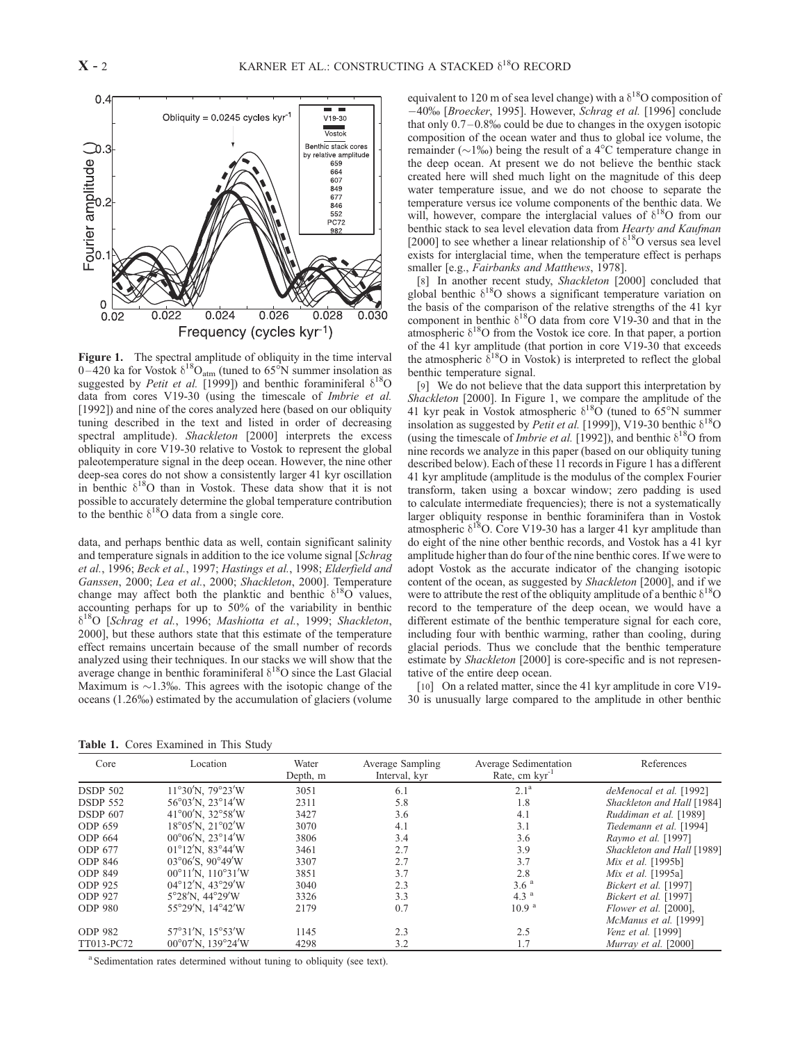

Figure 1. The spectral amplitude of obliquity in the time interval 0–420 ka for Vostok  $\delta^{18}O_{\text{atm}}$  (tuned to 65<sup>°</sup>N summer insolation as suggested by *Petit et al.* [1999]) and benthic foraminiferal  $\delta^{18}O$ data from cores V19-30 (using the timescale of Imbrie et al. [1992]) and nine of the cores analyzed here (based on our obliquity tuning described in the text and listed in order of decreasing spectral amplitude). Shackleton [2000] interprets the excess obliquity in core V19-30 relative to Vostok to represent the global paleotemperature signal in the deep ocean. However, the nine other deep-sea cores do not show a consistently larger 41 kyr oscillation in benthic  $\delta^{18}O$  than in Vostok. These data show that it is not possible to accurately determine the global temperature contribution to the benthic  $\delta^{18}$ O data from a single core.

data, and perhaps benthic data as well, contain significant salinity and temperature signals in addition to the ice volume signal [Schrag et al., 1996; Beck et al., 1997; Hastings et al., 1998; Elderfield and Ganssen, 2000; Lea et al., 2000; Shackleton, 2000]. Temperature change may affect both the planktic and benthic  $\delta^{18}O$  values, accounting perhaps for up to 50% of the variability in benthic  $\delta^{18}O$  [Schrag et al., 1996; Mashiotta et al., 1999; Shackleton, 2000], but these authors state that this estimate of the temperature effect remains uncertain because of the small number of records analyzed using their techniques. In our stacks we will show that the average change in benthic foraminiferal  $\delta^{18}O$  since the Last Glacial Maximum is  $\sim$ 1.3‰. This agrees with the isotopic change of the oceans (1.26%) estimated by the accumulation of glaciers (volume

equivalent to 120 m of sea level change) with a  $\delta^{18}$ O composition of -40‰ [Broecker, 1995]. However, Schrag et al. [1996] conclude that only  $0.7-0.8\%$  could be due to changes in the oxygen isotopic composition of the ocean water and thus to global ice volume, the remainder ( $\sim$ 1‰) being the result of a 4<sup>o</sup>C temperature change in the deep ocean. At present we do not believe the benthic stack created here will shed much light on the magnitude of this deep water temperature issue, and we do not choose to separate the temperature versus ice volume components of the benthic data. We will, however, compare the interglacial values of  $\delta^{18}O$  from our benthic stack to sea level elevation data from Hearty and Kaufman [2000] to see whether a linear relationship of  $\delta^{18}O$  versus sea level exists for interglacial time, when the temperature effect is perhaps smaller [e.g., Fairbanks and Matthews, 1978].

[8] In another recent study, Shackleton [2000] concluded that global benthic  $\delta^{18}O$  shows a significant temperature variation on the basis of the comparison of the relative strengths of the 41 kyr component in benthic  $\delta^{18}O$  data from core V19-30 and that in the atmospheric  $\delta^{18}O$  from the Vostok ice core. In that paper, a portion of the 41 kyr amplitude (that portion in core V19-30 that exceeds the atmospheric  $\delta^{18}$ O in Vostok) is interpreted to reflect the global benthic temperature signal.

[9] We do not believe that the data support this interpretation by Shackleton [2000]. In Figure 1, we compare the amplitude of the 41 kyr peak in Vostok atmospheric  $\delta^{18}O$  (tuned to 65°N summer insolation as suggested by Petit et al. [1999]), V19-30 benthic  $\delta^{18}O$ (using the timescale of *Imbrie et al.* [1992]), and benthic  $\delta^{18}O$  from nine records we analyze in this paper (based on our obliquity tuning described below). Each of these 11 records in Figure 1 has a different 41 kyr amplitude (amplitude is the modulus of the complex Fourier transform, taken using a boxcar window; zero padding is used to calculate intermediate frequencies); there is not a systematically larger obliquity response in benthic foraminifera than in Vostok atmospheric  $\delta^{18}$ O. Core V19-30 has a larger 41 kyr amplitude than do eight of the nine other benthic records, and Vostok has a 41 kyr amplitude higher than do four of the nine benthic cores. If we were to adopt Vostok as the accurate indicator of the changing isotopic content of the ocean, as suggested by Shackleton [2000], and if we were to attribute the rest of the obliquity amplitude of a benthic  $\delta^{18}O$ record to the temperature of the deep ocean, we would have a different estimate of the benthic temperature signal for each core, including four with benthic warming, rather than cooling, during glacial periods. Thus we conclude that the benthic temperature estimate by Shackleton [2000] is core-specific and is not representative of the entire deep ocean.

[10] On a related matter, since the 41 kyr amplitude in core V19-30 is unusually large compared to the amplitude in other benthic

Table 1. Cores Examined in This Study

| Core            | Location                                            | Water<br>Depth, m | Average Sampling<br>Interval, kyr | Average Sedimentation<br>Rate, cm $kvr^{-1}$ | References                 |
|-----------------|-----------------------------------------------------|-------------------|-----------------------------------|----------------------------------------------|----------------------------|
| <b>DSDP 502</b> | $11^{\circ}30^{\prime}$ N, 79°23 $^{\prime}$ W      | 3051              | 6.1                               | 2.1 <sup>a</sup>                             | deMenocal et al. [1992]    |
| <b>DSDP 552</b> | $56^{\circ}03'$ N. 23 $^{\circ}14'$ W               | 2311              | 5.8                               | 1.8                                          | Shackleton and Hall [1984] |
| <b>DSDP 607</b> | $41^{\circ}00^{\prime}$ N. 32°58 $^{\prime}$ W      | 3427              | 3.6                               | 4.1                                          | Ruddiman et al. [1989]     |
| ODP 659         | $18^{\circ}05'$ N. $21^{\circ}02'$ W                | 3070              | 4.1                               | 3.1                                          | Tiedemann et al. [1994]    |
| ODP 664         | $00^{\circ}06'$ N, $23^{\circ}14'$ W                | 3806              | 3.4                               | 3.6                                          | Raymo et al. [1997]        |
| ODP 677         | $01^{\circ}12'$ N. 83 $^{\circ}44'$ W               | 3461              | 2.7                               | 3.9                                          | Shackleton and Hall [1989] |
| <b>ODP 846</b>  | $03^{\circ}06^{\prime}$ S. 90°49 $^{\prime}$ W      | 3307              | 2.7                               | 3.7                                          | Mix et al. [1995b]         |
| <b>ODP 849</b>  | $00^{\circ}11'$ N, $110^{\circ}31'$ W               | 3851              | 3.7                               | 2.8                                          | Mix et al. [1995a]         |
| ODP 925         | $04^{\circ}12'$ N. $43^{\circ}29'$ W                | 3040              | 2.3                               | 3.6 <sup>a</sup>                             | Bickert et al. [1997]      |
| <b>ODP 927</b>  | $5^{\circ}28'$ N, $44^{\circ}29'$ W                 | 3326              | 3.3                               | 4.3 <sup>a</sup>                             | Bickert et al. [1997]      |
| <b>ODP 980</b>  | 55°29'N, 14°42'W                                    | 2179              | 0.7                               | 10.9 <sup>a</sup>                            | Flower et al. [2000],      |
|                 |                                                     |                   |                                   |                                              | McManus et al. [1999]      |
| <b>ODP 982</b>  | $57^{\circ}31^{\prime}N$ , $15^{\circ}53^{\prime}W$ | 1145              | 2.3                               | 2.5                                          | Venz et al. [1999]         |
| TT013-PC72      | $00^{\circ}07'$ N. 139°24′W                         | 4298              | 3.2                               | 1.7                                          | Murray et al. [2000]       |

<sup>a</sup> Sedimentation rates determined without tuning to obliquity (see text).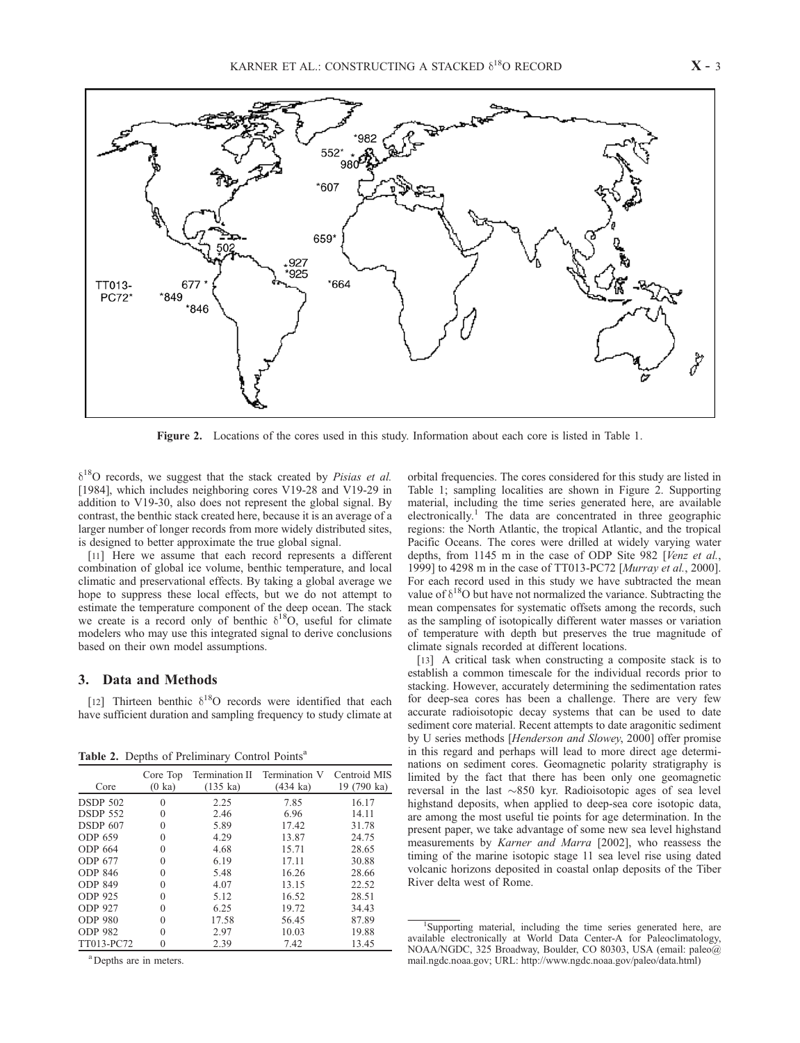

Figure 2. Locations of the cores used in this study. Information about each core is listed in Table 1.

 $\delta^{18}$ O records, we suggest that the stack created by Pisias et al. [1984], which includes neighboring cores V19-28 and V19-29 in addition to V19-30, also does not represent the global signal. By contrast, the benthic stack created here, because it is an average of a larger number of longer records from more widely distributed sites, is designed to better approximate the true global signal.

[11] Here we assume that each record represents a different combination of global ice volume, benthic temperature, and local climatic and preservational effects. By taking a global average we hope to suppress these local effects, but we do not attempt to estimate the temperature component of the deep ocean. The stack we create is a record only of benthic  $\delta^{18}O$ , useful for climate modelers who may use this integrated signal to derive conclusions based on their own model assumptions.

## 3. Data and Methods

[12] Thirteen benthic  $\delta^{18}O$  records were identified that each have sufficient duration and sampling frequency to study climate at

Table 2. Depths of Preliminary Control Points<sup>a</sup>

| Core            | Core Top<br>$(0 \text{ ka})$ | $(135 \text{ ka})$ | Termination II Termination V<br>(434 ka) | Centroid MIS<br>19 (790 ka) |
|-----------------|------------------------------|--------------------|------------------------------------------|-----------------------------|
| <b>DSDP 502</b> | 0                            | 2.25               | 7.85                                     | 16.17                       |
| <b>DSDP 552</b> | $\theta$                     | 2.46               | 6.96                                     | 14.11                       |
| <b>DSDP 607</b> | 0                            | 5.89               | 17.42                                    | 31.78                       |
| ODP 659         | $\theta$                     | 4.29               | 13.87                                    | 24.75                       |
| ODP 664         | $\theta$                     | 4.68               | 15.71                                    | 28.65                       |
| <b>ODP 677</b>  | 0                            | 6.19               | 17.11                                    | 30.88                       |
| <b>ODP 846</b>  | 0                            | 5.48               | 16.26                                    | 28.66                       |
| <b>ODP 849</b>  | $\theta$                     | 4.07               | 13.15                                    | 22.52                       |
| <b>ODP 925</b>  | $\theta$                     | 5.12               | 16.52                                    | 28.51                       |
| <b>ODP 927</b>  | 0                            | 6.25               | 19.72                                    | 34.43                       |
| <b>ODP 980</b>  | $\theta$                     | 17.58              | 56.45                                    | 87.89                       |
| <b>ODP 982</b>  | 0                            | 2.97               | 10.03                                    | 19.88                       |
| TT013-PC72      |                              | 2.39               | 7.42                                     | 13.45                       |

<sup>a</sup>Depths are in meters.

orbital frequencies. The cores considered for this study are listed in Table 1; sampling localities are shown in Figure 2. Supporting material, including the time series generated here, are available electronically.<sup>1</sup> The data are concentrated in three geographic regions: the North Atlantic, the tropical Atlantic, and the tropical Pacific Oceans. The cores were drilled at widely varying water depths, from 1145 m in the case of ODP Site 982 [Venz et al., 1999] to 4298 m in the case of TT013-PC72 [Murray et al., 2000]. For each record used in this study we have subtracted the mean value of  $\delta^{18}O$  but have not normalized the variance. Subtracting the mean compensates for systematic offsets among the records, such as the sampling of isotopically different water masses or variation of temperature with depth but preserves the true magnitude of climate signals recorded at different locations.

[13] A critical task when constructing a composite stack is to establish a common timescale for the individual records prior to stacking. However, accurately determining the sedimentation rates for deep-sea cores has been a challenge. There are very few accurate radioisotopic decay systems that can be used to date sediment core material. Recent attempts to date aragonitic sediment by U series methods [Henderson and Slowey, 2000] offer promise in this regard and perhaps will lead to more direct age determinations on sediment cores. Geomagnetic polarity stratigraphy is limited by the fact that there has been only one geomagnetic reversal in the last  $\sim 850$  kyr. Radioisotopic ages of sea level highstand deposits, when applied to deep-sea core isotopic data, are among the most useful tie points for age determination. In the present paper, we take advantage of some new sea level highstand measurements by Karner and Marra [2002], who reassess the timing of the marine isotopic stage 11 sea level rise using dated volcanic horizons deposited in coastal onlap deposits of the Tiber River delta west of Rome.

<sup>1</sup>Supporting material, including the time series generated here, are available electronically at World Data Center-A for Paleoclimatology, NOAA/NGDC, 325 Broadway, Boulder, CO 80303, USA (email: paleo@ mail.ngdc.noaa.gov; URL: http://www.ngdc.noaa.gov/paleo/data.html)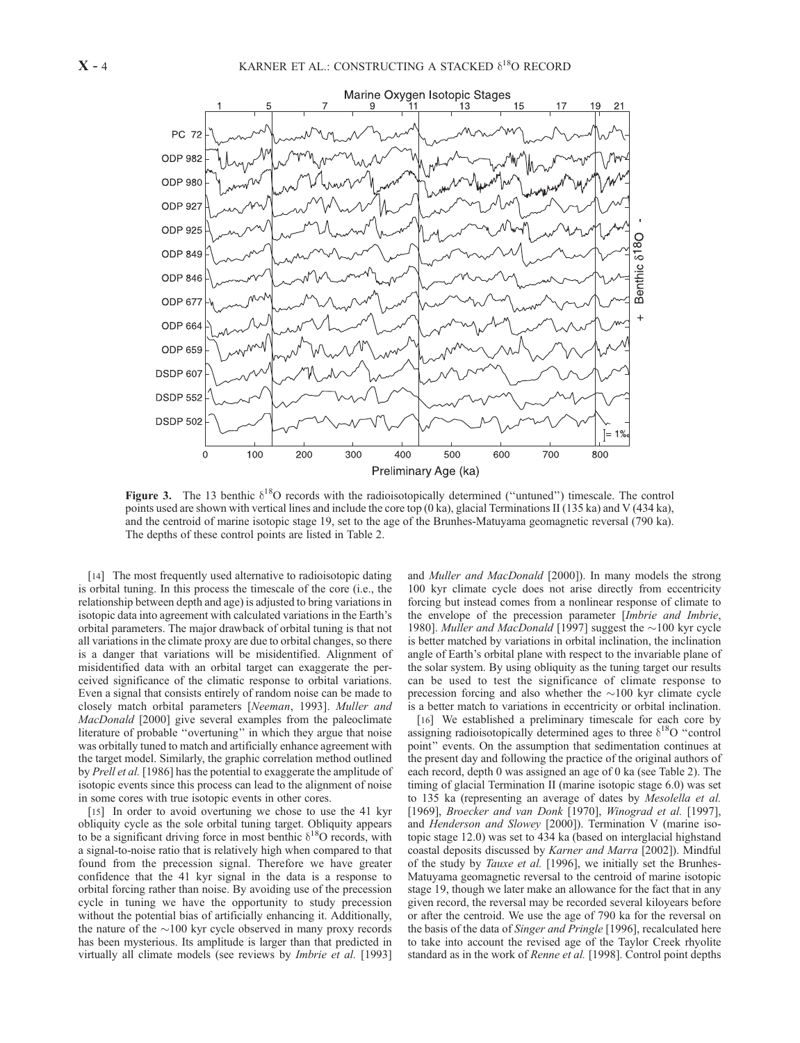

Figure 3. The 13 benthic  $\delta^{18}O$  records with the radioisotopically determined ("untuned") timescale. The control points used are shown with vertical lines and include the core top  $(0 \text{ ka})$ , glacial Terminations II (135 ka) and V (434 ka), and the centroid of marine isotopic stage 19, set to the age of the Brunhes-Matuyama geomagnetic reversal (790 ka). The depths of these control points are listed in Table 2.

[14] The most frequently used alternative to radioisotopic dating is orbital tuning. In this process the timescale of the core (i.e., the relationship between depth and age) is adjusted to bring variations in isotopic data into agreement with calculated variations in the Earth's orbital parameters. The major drawback of orbital tuning is that not all variations in the climate proxy are due to orbital changes, so there is a danger that variations will be misidentified. Alignment of misidentified data with an orbital target can exaggerate the perceived significance of the climatic response to orbital variations. Even a signal that consists entirely of random noise can be made to closely match orbital parameters [Neeman, 1993]. Muller and MacDonald [2000] give several examples from the paleoclimate literature of probable ''overtuning'' in which they argue that noise was orbitally tuned to match and artificially enhance agreement with the target model. Similarly, the graphic correlation method outlined by Prell et al. [1986] has the potential to exaggerate the amplitude of isotopic events since this process can lead to the alignment of noise in some cores with true isotopic events in other cores.

[15] In order to avoid overtuning we chose to use the 41 kyr obliquity cycle as the sole orbital tuning target. Obliquity appears to be a significant driving force in most benthic  $\delta^{18}O$  records, with a signal-to-noise ratio that is relatively high when compared to that found from the precession signal. Therefore we have greater confidence that the 41 kyr signal in the data is a response to orbital forcing rather than noise. By avoiding use of the precession cycle in tuning we have the opportunity to study precession without the potential bias of artificially enhancing it. Additionally, the nature of the  $\sim$ 100 kyr cycle observed in many proxy records has been mysterious. Its amplitude is larger than that predicted in virtually all climate models (see reviews by Imbrie et al. [1993] and Muller and MacDonald [2000]). In many models the strong 100 kyr climate cycle does not arise directly from eccentricity forcing but instead comes from a nonlinear response of climate to the envelope of the precession parameter [Imbrie and Imbrie, 1980]. Muller and MacDonald [1997] suggest the  $\sim$ 100 kyr cycle is better matched by variations in orbital inclination, the inclination angle of Earth's orbital plane with respect to the invariable plane of the solar system. By using obliquity as the tuning target our results can be used to test the significance of climate response to precession forcing and also whether the  $\sim$ 100 kyr climate cycle is a better match to variations in eccentricity or orbital inclination.

[16] We established a preliminary timescale for each core by assigning radioisotopically determined ages to three  $\delta^{18}O$  "control point'' events. On the assumption that sedimentation continues at the present day and following the practice of the original authors of each record, depth 0 was assigned an age of 0 ka (see Table 2). The timing of glacial Termination II (marine isotopic stage 6.0) was set to 135 ka (representing an average of dates by Mesolella et al. [1969], Broecker and van Donk [1970], Winograd et al. [1997], and Henderson and Slowey [2000]). Termination V (marine isotopic stage 12.0) was set to 434 ka (based on interglacial highstand coastal deposits discussed by Karner and Marra [2002]). Mindful of the study by Tauxe et al. [1996], we initially set the Brunhes-Matuyama geomagnetic reversal to the centroid of marine isotopic stage 19, though we later make an allowance for the fact that in any given record, the reversal may be recorded several kiloyears before or after the centroid. We use the age of 790 ka for the reversal on the basis of the data of Singer and Pringle [1996], recalculated here to take into account the revised age of the Taylor Creek rhyolite standard as in the work of Renne et al. [1998]. Control point depths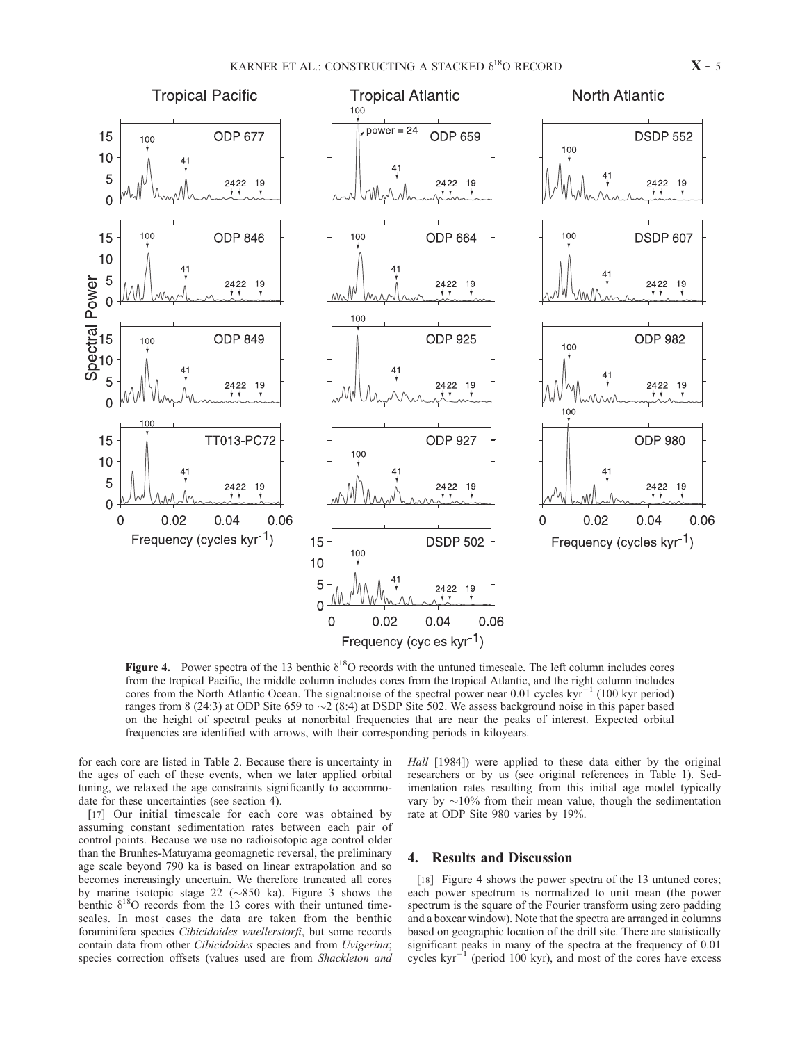

Figure 4. Power spectra of the 13 benthic  $\delta^{18}O$  records with the untuned timescale. The left column includes cores from the tropical Pacific, the middle column includes cores from the tropical Atlantic, and the right column includes cores from the North Atlantic Ocean. The signal:noise of the spectral power near 0.01 cycles  $kyr^{-1}$  (100 kyr period) ranges from 8 (24:3) at ODP Site 659 to  $\sim$  2 (8:4) at DSDP Site 502. We assess background noise in this paper based on the height of spectral peaks at nonorbital frequencies that are near the peaks of interest. Expected orbital frequencies are identified with arrows, with their corresponding periods in kiloyears.

for each core are listed in Table 2. Because there is uncertainty in the ages of each of these events, when we later applied orbital tuning, we relaxed the age constraints significantly to accommodate for these uncertainties (see section 4).

[17] Our initial timescale for each core was obtained by assuming constant sedimentation rates between each pair of control points. Because we use no radioisotopic age control older than the Brunhes-Matuyama geomagnetic reversal, the preliminary age scale beyond 790 ka is based on linear extrapolation and so becomes increasingly uncertain. We therefore truncated all cores by marine isotopic stage 22 ( $\sim$ 850 ka). Figure 3 shows the benthic  $\delta^{18}$ O records from the 13 cores with their untuned timescales. In most cases the data are taken from the benthic foraminifera species Cibicidoides wuellerstorfi, but some records contain data from other Cibicidoides species and from Uvigerina; species correction offsets (values used are from Shackleton and

Hall [1984]) were applied to these data either by the original researchers or by us (see original references in Table 1). Sedimentation rates resulting from this initial age model typically vary by  $\sim$ 10% from their mean value, though the sedimentation rate at ODP Site 980 varies by 19%.

# 4. Results and Discussion

[18] Figure 4 shows the power spectra of the 13 untuned cores; each power spectrum is normalized to unit mean (the power spectrum is the square of the Fourier transform using zero padding and a boxcar window). Note that the spectra are arranged in columns based on geographic location of the drill site. There are statistically significant peaks in many of the spectra at the frequency of 0.01 cycles  $kyr^{-1}$  (period 100 kyr), and most of the cores have excess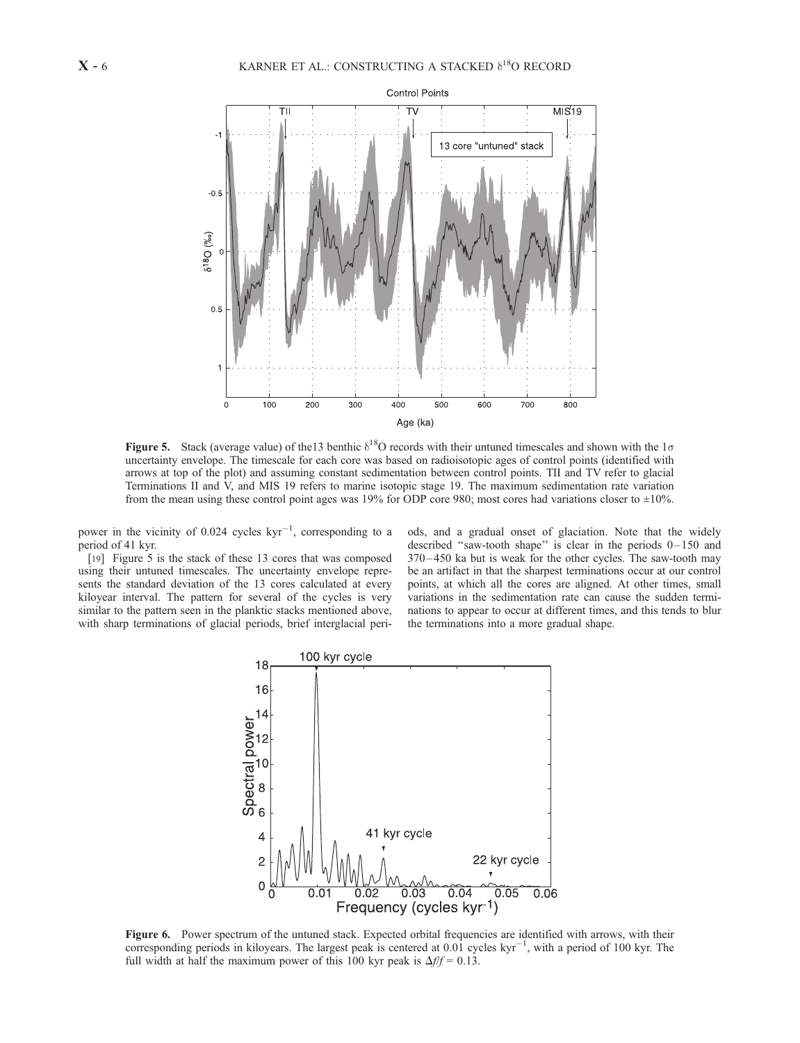

Figure 5. Stack (average value) of the 13 benthic  $\delta^{18}O$  records with their untuned timescales and shown with the  $1\sigma$ uncertainty envelope. The timescale for each core was based on radioisotopic ages of control points (identified with arrows at top of the plot) and assuming constant sedimentation between control points. TII and TV refer to glacial Terminations II and V, and MIS 19 refers to marine isotopic stage 19. The maximum sedimentation rate variation from the mean using these control point ages was 19% for ODP core 980; most cores had variations closer to ±10%.

power in the vicinity of  $0.024$  cycles  $kyr^{-1}$ , corresponding to a period of 41 kyr.

[19] Figure 5 is the stack of these 13 cores that was composed using their untuned timescales. The uncertainty envelope represents the standard deviation of the 13 cores calculated at every kiloyear interval. The pattern for several of the cycles is very similar to the pattern seen in the planktic stacks mentioned above, with sharp terminations of glacial periods, brief interglacial periods, and a gradual onset of glaciation. Note that the widely described "saw-tooth shape" is clear in the periods  $0-150$  and 370 – 450 ka but is weak for the other cycles. The saw-tooth may be an artifact in that the sharpest terminations occur at our control points, at which all the cores are aligned. At other times, small variations in the sedimentation rate can cause the sudden terminations to appear to occur at different times, and this tends to blur the terminations into a more gradual shape.



Figure 6. Power spectrum of the untuned stack. Expected orbital frequencies are identified with arrows, with their corresponding periods in kiloyears. The largest peak is centered at 0.01 cycles  $kyr^{-1}$ , with a period of 100 kyr. The full width at half the maximum power of this 100 kyr peak is  $\Delta f/f = 0.13$ .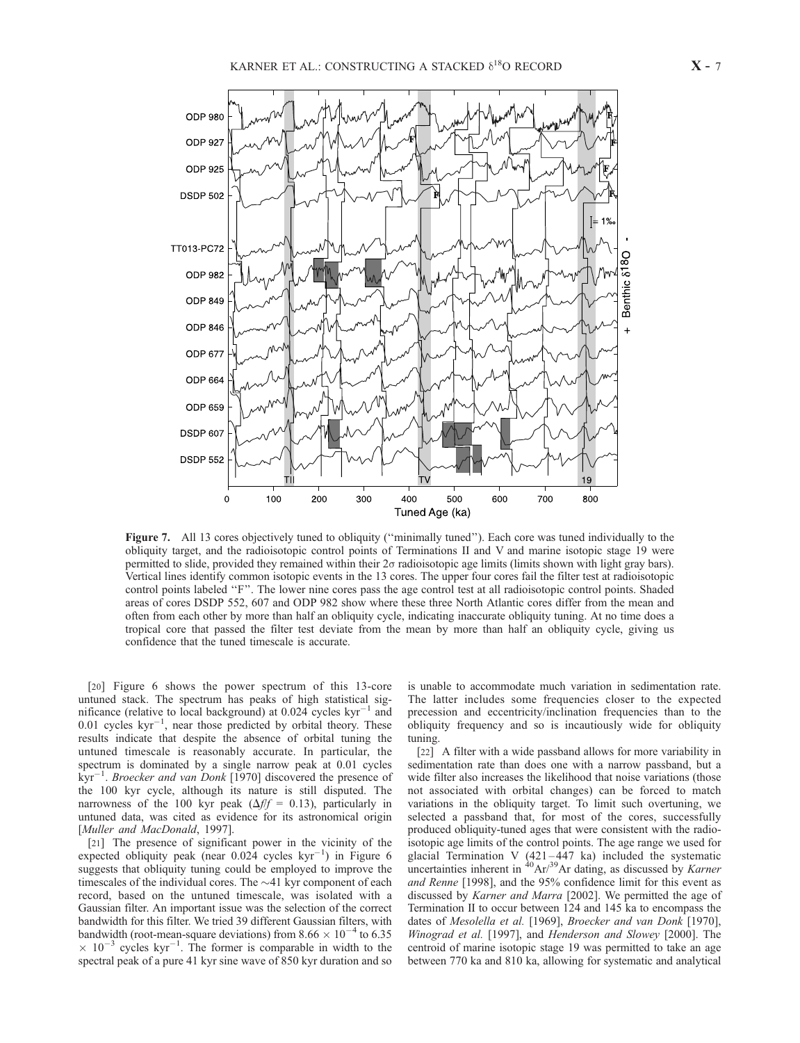

Figure 7. All 13 cores objectively tuned to obliquity ("minimally tuned"). Each core was tuned individually to the obliquity target, and the radioisotopic control points of Terminations II and V and marine isotopic stage 19 were permitted to slide, provided they remained within their 2s radioisotopic age limits (limits shown with light gray bars). Vertical lines identify common isotopic events in the 13 cores. The upper four cores fail the filter test at radioisotopic control points labeled ''F''. The lower nine cores pass the age control test at all radioisotopic control points. Shaded areas of cores DSDP 552, 607 and ODP 982 show where these three North Atlantic cores differ from the mean and often from each other by more than half an obliquity cycle, indicating inaccurate obliquity tuning. At no time does a tropical core that passed the filter test deviate from the mean by more than half an obliquity cycle, giving us confidence that the tuned timescale is accurate.

[20] Figure 6 shows the power spectrum of this 13-core untuned stack. The spectrum has peaks of high statistical significance (relative to local background) at  $0.024$  cycles kyr<sup>-1</sup> and  $0.01$  cycles  $kyr^{-1}$ , near those predicted by orbital theory. These results indicate that despite the absence of orbital tuning the untuned timescale is reasonably accurate. In particular, the spectrum is dominated by a single narrow peak at 0.01 cycles  $kyr^{-1}$ . Broecker and van Donk [1970] discovered the presence of the 100 kyr cycle, although its nature is still disputed. The narrowness of the 100 kyr peak ( $\Delta f/f = 0.13$ ), particularly in untuned data, was cited as evidence for its astronomical origin [Muller and MacDonald, 1997].

[21] The presence of significant power in the vicinity of the expected obliquity peak (near  $0.024$  cycles  $kyr^{-1}$ ) in Figure 6 suggests that obliquity tuning could be employed to improve the timescales of the individual cores. The  $\sim$ 41 kyr component of each record, based on the untuned timescale, was isolated with a Gaussian filter. An important issue was the selection of the correct bandwidth for this filter. We tried 39 different Gaussian filters, with bandwidth (root-mean-square deviations) from  $8.66 \times 10^{-4}$  to 6.35  $\times$  10<sup>-3</sup> cycles kyr<sup>-1</sup>. The former is comparable in width to the spectral peak of a pure 41 kyr sine wave of 850 kyr duration and so

is unable to accommodate much variation in sedimentation rate. The latter includes some frequencies closer to the expected precession and eccentricity/inclination frequencies than to the obliquity frequency and so is incautiously wide for obliquity tuning.

[22] A filter with a wide passband allows for more variability in sedimentation rate than does one with a narrow passband, but a wide filter also increases the likelihood that noise variations (those not associated with orbital changes) can be forced to match variations in the obliquity target. To limit such overtuning, we selected a passband that, for most of the cores, successfully produced obliquity-tuned ages that were consistent with the radioisotopic age limits of the control points. The age range we used for glacial Termination V (421–447 ka) included the systematic uncertainties inherent in  ${}^{40}\text{Ar}/{}^{39}\text{Ar}$  dating, as discussed by *Karner* and Renne [1998], and the 95% confidence limit for this event as discussed by Karner and Marra [2002]. We permitted the age of Termination II to occur between 124 and 145 ka to encompass the dates of Mesolella et al. [1969], Broecker and van Donk [1970], Winograd et al. [1997], and Henderson and Slowey [2000]. The centroid of marine isotopic stage 19 was permitted to take an age between 770 ka and 810 ka, allowing for systematic and analytical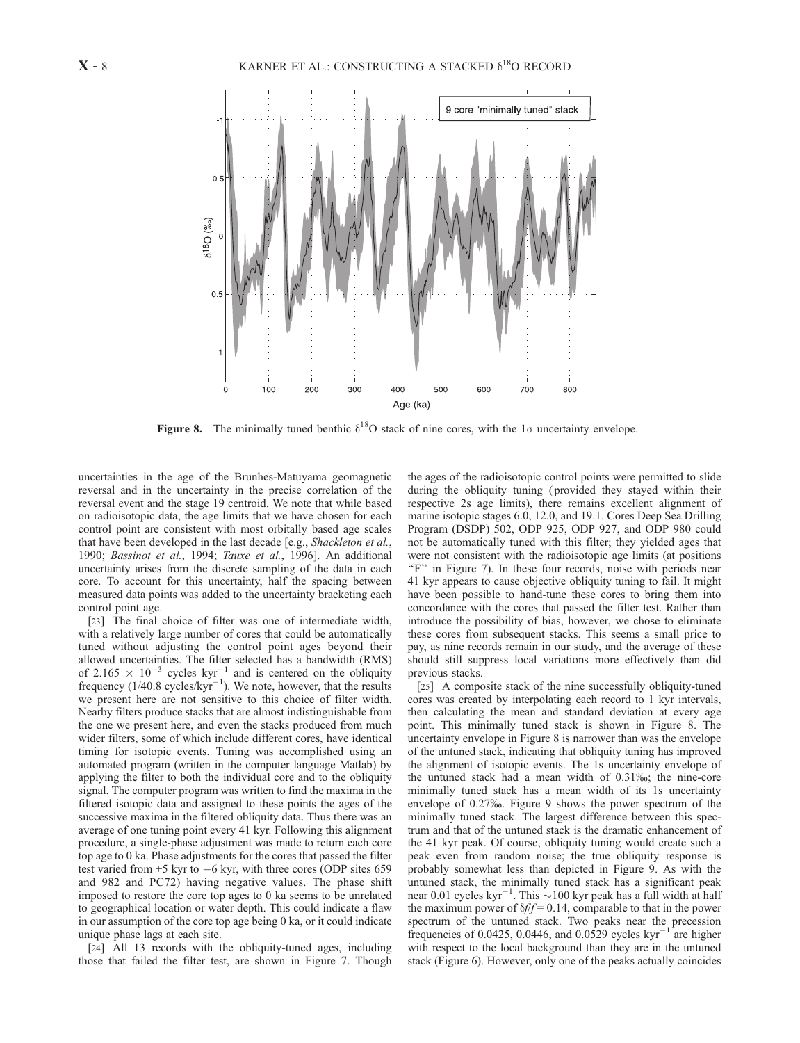

Figure 8. The minimally tuned benthic  $\delta^{18}O$  stack of nine cores, with the 1 $\sigma$  uncertainty envelope.

uncertainties in the age of the Brunhes-Matuyama geomagnetic reversal and in the uncertainty in the precise correlation of the reversal event and the stage 19 centroid. We note that while based on radioisotopic data, the age limits that we have chosen for each control point are consistent with most orbitally based age scales that have been developed in the last decade [e.g., Shackleton et al., 1990; Bassinot et al., 1994; Tauxe et al., 1996]. An additional uncertainty arises from the discrete sampling of the data in each core. To account for this uncertainty, half the spacing between measured data points was added to the uncertainty bracketing each control point age.

[23] The final choice of filter was one of intermediate width, with a relatively large number of cores that could be automatically tuned without adjusting the control point ages beyond their allowed uncertainties. The filter selected has a bandwidth (RMS) of 2.165  $\times$  10<sup>-3</sup> cycles kyr<sup>-1</sup> and is centered on the obliquity frequency  $(1/40.8 \text{ cycles/kyr}^{-1})$ . We note, however, that the results we present here are not sensitive to this choice of filter width. Nearby filters produce stacks that are almost indistinguishable from the one we present here, and even the stacks produced from much wider filters, some of which include different cores, have identical timing for isotopic events. Tuning was accomplished using an automated program (written in the computer language Matlab) by applying the filter to both the individual core and to the obliquity signal. The computer program was written to find the maxima in the filtered isotopic data and assigned to these points the ages of the successive maxima in the filtered obliquity data. Thus there was an average of one tuning point every 41 kyr. Following this alignment procedure, a single-phase adjustment was made to return each core top age to 0 ka. Phase adjustments for the cores that passed the filter test varied from +5 kyr to -6 kyr, with three cores (ODP sites 659 and 982 and PC72) having negative values. The phase shift imposed to restore the core top ages to 0 ka seems to be unrelated to geographical location or water depth. This could indicate a flaw in our assumption of the core top age being 0 ka, or it could indicate unique phase lags at each site.

[24] All 13 records with the obliquity-tuned ages, including those that failed the filter test, are shown in Figure 7. Though the ages of the radioisotopic control points were permitted to slide during the obliquity tuning ( provided they stayed within their respective 2s age limits), there remains excellent alignment of marine isotopic stages 6.0, 12.0, and 19.1. Cores Deep Sea Drilling Program (DSDP) 502, ODP 925, ODP 927, and ODP 980 could not be automatically tuned with this filter; they yielded ages that were not consistent with the radioisotopic age limits (at positions "F" in Figure 7). In these four records, noise with periods near 41 kyr appears to cause objective obliquity tuning to fail. It might have been possible to hand-tune these cores to bring them into concordance with the cores that passed the filter test. Rather than introduce the possibility of bias, however, we chose to eliminate these cores from subsequent stacks. This seems a small price to pay, as nine records remain in our study, and the average of these should still suppress local variations more effectively than did previous stacks.

[25] A composite stack of the nine successfully obliquity-tuned cores was created by interpolating each record to 1 kyr intervals, then calculating the mean and standard deviation at every age point. This minimally tuned stack is shown in Figure 8. The uncertainty envelope in Figure 8 is narrower than was the envelope of the untuned stack, indicating that obliquity tuning has improved the alignment of isotopic events. The 1s uncertainty envelope of the untuned stack had a mean width of 0.31%; the nine-core minimally tuned stack has a mean width of its 1s uncertainty envelope of 0.27%. Figure 9 shows the power spectrum of the minimally tuned stack. The largest difference between this spectrum and that of the untuned stack is the dramatic enhancement of the 41 kyr peak. Of course, obliquity tuning would create such a peak even from random noise; the true obliquity response is probably somewhat less than depicted in Figure 9. As with the untuned stack, the minimally tuned stack has a significant peak near 0.01 cycles  $kyr^{-1}$ . This  $\sim$ 100 kyr peak has a full width at half the maximum power of  $\delta f/f = 0.14$ , comparable to that in the power spectrum of the untuned stack. Two peaks near the precession frequencies of 0.0425, 0.0446, and 0.0529 cycles  $kyr^{-1}$  are higher with respect to the local background than they are in the untuned stack (Figure 6). However, only one of the peaks actually coincides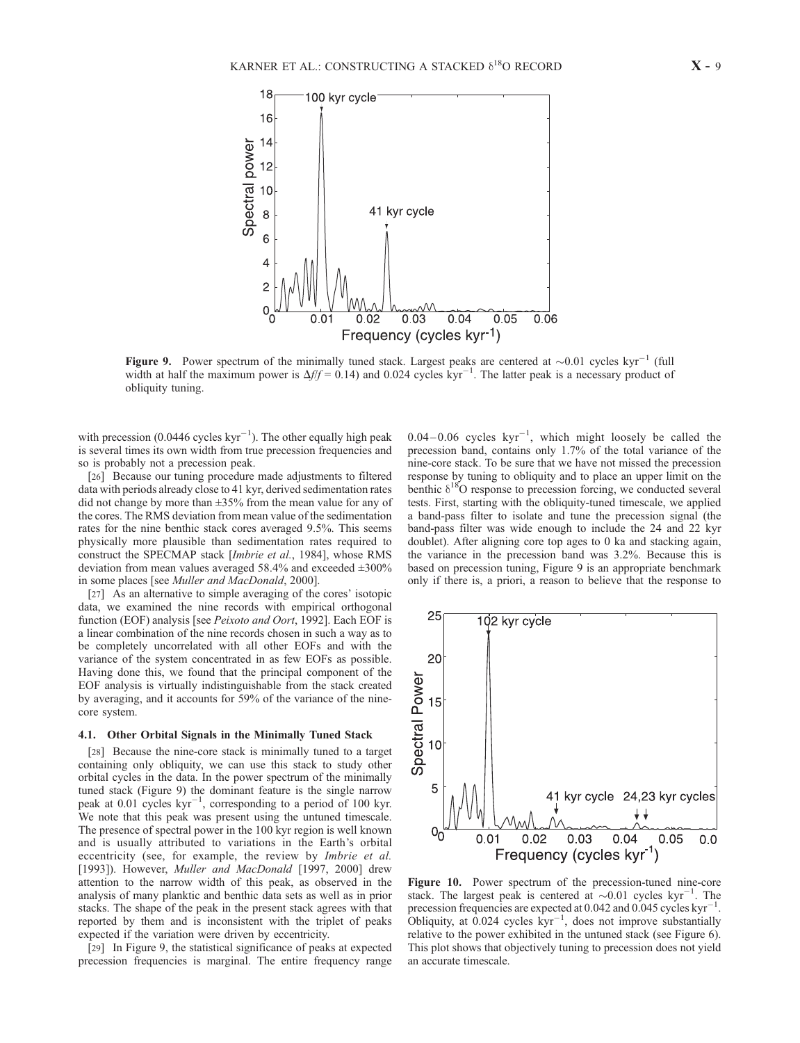

Figure 9. Power spectrum of the minimally tuned stack. Largest peaks are centered at  $\sim 0.01$  cycles kyr<sup>-1</sup> (full width at half the maximum power is  $\Delta f/f = 0.14$ ) and 0.024 cycles kyr<sup>-1</sup>. The latter peak is a necessary product of obliquity tuning.

with precession  $(0.0446 \text{ cycles kyr}^{-1})$ . The other equally high peak is several times its own width from true precession frequencies and so is probably not a precession peak.

[26] Because our tuning procedure made adjustments to filtered data with periods already close to 41 kyr, derived sedimentation rates did not change by more than  $\pm 35\%$  from the mean value for any of the cores. The RMS deviation from mean value of the sedimentation rates for the nine benthic stack cores averaged 9.5%. This seems physically more plausible than sedimentation rates required to construct the SPECMAP stack [Imbrie et al., 1984], whose RMS deviation from mean values averaged  $58.4\%$  and exceeded  $\pm 300\%$ in some places [see Muller and MacDonald, 2000].

[27] As an alternative to simple averaging of the cores' isotopic data, we examined the nine records with empirical orthogonal function (EOF) analysis [see Peixoto and Oort, 1992]. Each EOF is a linear combination of the nine records chosen in such a way as to be completely uncorrelated with all other EOFs and with the variance of the system concentrated in as few EOFs as possible. Having done this, we found that the principal component of the EOF analysis is virtually indistinguishable from the stack created by averaging, and it accounts for 59% of the variance of the ninecore system.

#### 4.1. Other Orbital Signals in the Minimally Tuned Stack

[28] Because the nine-core stack is minimally tuned to a target containing only obliquity, we can use this stack to study other orbital cycles in the data. In the power spectrum of the minimally tuned stack (Figure 9) the dominant feature is the single narrow peak at  $0.01$  cycles  $kyr^{-1}$ , corresponding to a period of 100 kyr. We note that this peak was present using the untuned timescale. The presence of spectral power in the 100 kyr region is well known and is usually attributed to variations in the Earth's orbital eccentricity (see, for example, the review by Imbrie et al. [1993]). However, *Muller and MacDonald* [1997, 2000] drew attention to the narrow width of this peak, as observed in the analysis of many planktic and benthic data sets as well as in prior stacks. The shape of the peak in the present stack agrees with that reported by them and is inconsistent with the triplet of peaks expected if the variation were driven by eccentricity.

[29] In Figure 9, the statistical significance of peaks at expected precession frequencies is marginal. The entire frequency range

 $0.04 - 0.06$  cycles  $kyr^{-1}$ , which might loosely be called the precession band, contains only 1.7% of the total variance of the nine-core stack. To be sure that we have not missed the precession response by tuning to obliquity and to place an upper limit on the benthic  $\delta^{18}$ O response to precession forcing, we conducted several tests. First, starting with the obliquity-tuned timescale, we applied a band-pass filter to isolate and tune the precession signal (the band-pass filter was wide enough to include the 24 and 22 kyr doublet). After aligning core top ages to 0 ka and stacking again, the variance in the precession band was 3.2%. Because this is based on precession tuning, Figure 9 is an appropriate benchmark only if there is, a priori, a reason to believe that the response to



Figure 10. Power spectrum of the precession-tuned nine-core stack. The largest peak is centered at  ${\sim}0.01$  cycles kyr<sup>-1</sup>. The precession frequencies are expected at 0.042 and 0.045 cycles  $kyr^{-1}$ . Obliquity, at  $0.024$  cycles  $kyr^{-1}$ , does not improve substantially relative to the power exhibited in the untuned stack (see Figure 6). This plot shows that objectively tuning to precession does not yield an accurate timescale.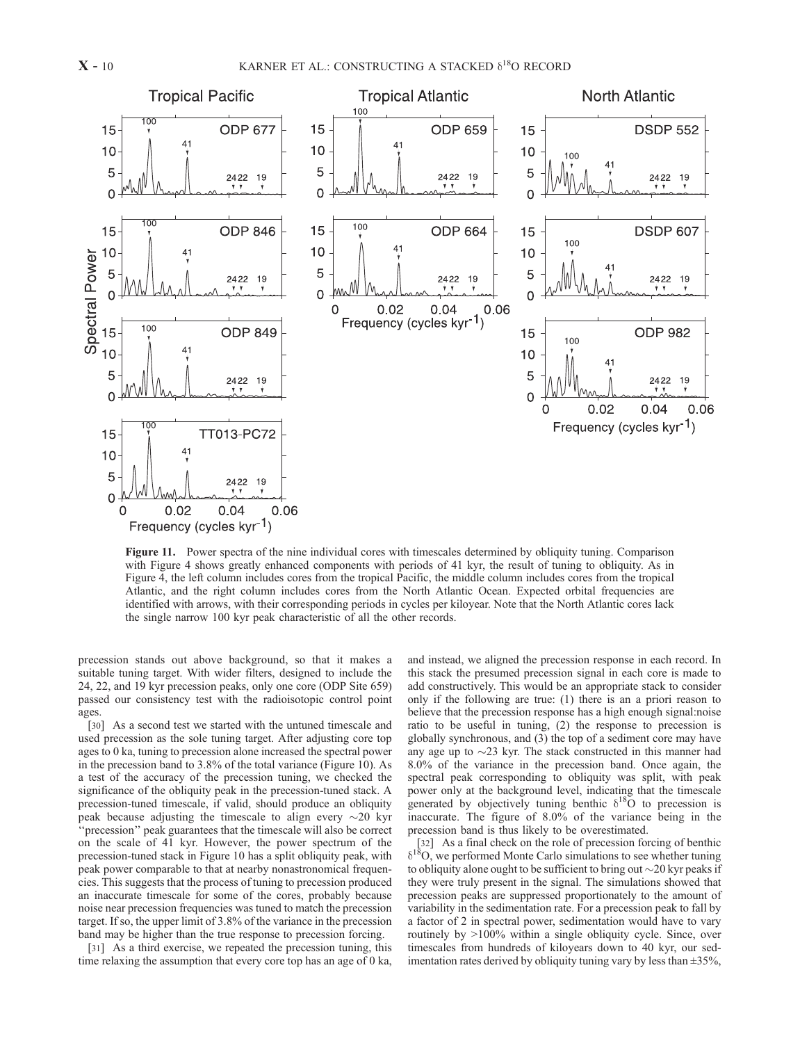

Figure 11. Power spectra of the nine individual cores with timescales determined by obliquity tuning. Comparison with Figure 4 shows greatly enhanced components with periods of 41 kyr, the result of tuning to obliquity. As in Figure 4, the left column includes cores from the tropical Pacific, the middle column includes cores from the tropical Atlantic, and the right column includes cores from the North Atlantic Ocean. Expected orbital frequencies are identified with arrows, with their corresponding periods in cycles per kiloyear. Note that the North Atlantic cores lack the single narrow 100 kyr peak characteristic of all the other records.

precession stands out above background, so that it makes a suitable tuning target. With wider filters, designed to include the 24, 22, and 19 kyr precession peaks, only one core (ODP Site 659) passed our consistency test with the radioisotopic control point ages.

[30] As a second test we started with the untuned timescale and used precession as the sole tuning target. After adjusting core top ages to 0 ka, tuning to precession alone increased the spectral power in the precession band to 3.8% of the total variance (Figure 10). As a test of the accuracy of the precession tuning, we checked the significance of the obliquity peak in the precession-tuned stack. A precession-tuned timescale, if valid, should produce an obliquity peak because adjusting the timescale to align every  $\sim$ 20 kyr ''precession'' peak guarantees that the timescale will also be correct on the scale of 41 kyr. However, the power spectrum of the precession-tuned stack in Figure 10 has a split obliquity peak, with peak power comparable to that at nearby nonastronomical frequencies. This suggests that the process of tuning to precession produced an inaccurate timescale for some of the cores, probably because noise near precession frequencies was tuned to match the precession target. If so, the upper limit of 3.8% of the variance in the precession band may be higher than the true response to precession forcing.

[31] As a third exercise, we repeated the precession tuning, this time relaxing the assumption that every core top has an age of 0 ka,

and instead, we aligned the precession response in each record. In this stack the presumed precession signal in each core is made to add constructively. This would be an appropriate stack to consider only if the following are true: (1) there is an a priori reason to believe that the precession response has a high enough signal:noise ratio to be useful in tuning, (2) the response to precession is globally synchronous, and (3) the top of a sediment core may have any age up to  $\sim$ 23 kyr. The stack constructed in this manner had 8.0% of the variance in the precession band. Once again, the spectral peak corresponding to obliquity was split, with peak power only at the background level, indicating that the timescale generated by objectively tuning benthic  $\delta^{18}$ O to precession is inaccurate. The figure of 8.0% of the variance being in the precession band is thus likely to be overestimated.

[32] As a final check on the role of precession forcing of benthic  $\delta^{18}O$ , we performed Monte Carlo simulations to see whether tuning to obliquity alone ought to be sufficient to bring out  $\sim$  20 kyr peaks if they were truly present in the signal. The simulations showed that precession peaks are suppressed proportionately to the amount of variability in the sedimentation rate. For a precession peak to fall by a factor of 2 in spectral power, sedimentation would have to vary routinely by >100% within a single obliquity cycle. Since, over timescales from hundreds of kiloyears down to 40 kyr, our sedimentation rates derived by obliquity tuning vary by less than  $\pm 35\%$ ,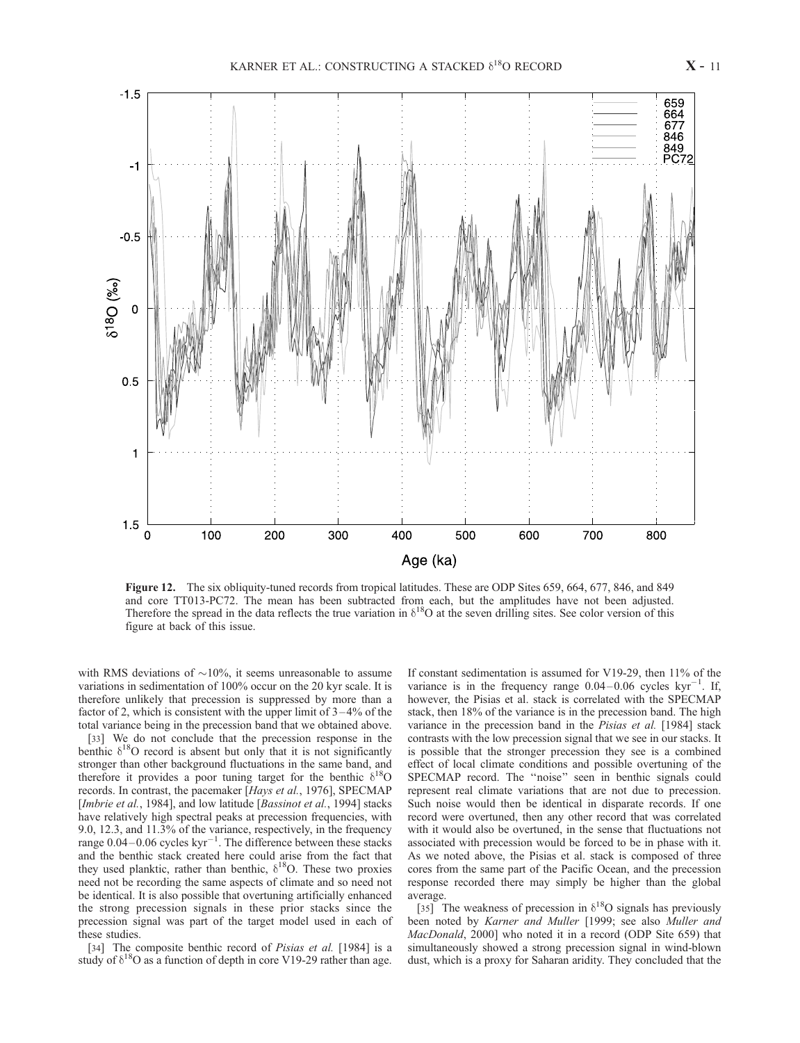

Figure 12. The six obliquity-tuned records from tropical latitudes. These are ODP Sites 659, 664, 677, 846, and 849 and core TT013-PC72. The mean has been subtracted from each, but the amplitudes have not been adjusted. Therefore the spread in the data reflects the true variation in  $\delta^{18}O$  at the seven drilling sites. See color version of this figure at back of this issue.

with RMS deviations of  $\sim$ 10%, it seems unreasonable to assume variations in sedimentation of 100% occur on the 20 kyr scale. It is therefore unlikely that precession is suppressed by more than a factor of 2, which is consistent with the upper limit of  $3-4\%$  of the total variance being in the precession band that we obtained above.

[33] We do not conclude that the precession response in the benthic  $\delta^{18}$ O record is absent but only that it is not significantly stronger than other background fluctuations in the same band, and therefore it provides a poor tuning target for the benthic  $\delta^{18}O$ records. In contrast, the pacemaker [Hays et al., 1976], SPECMAP [Imbrie et al., 1984], and low latitude [Bassinot et al., 1994] stacks have relatively high spectral peaks at precession frequencies, with 9.0, 12.3, and 11.3% of the variance, respectively, in the frequency range  $0.04 - 0.06$  cycles  $kyr^{-1}$ . The difference between these stacks and the benthic stack created here could arise from the fact that they used planktic, rather than benthic,  $\delta^{18}O$ . These two proxies need not be recording the same aspects of climate and so need not be identical. It is also possible that overtuning artificially enhanced the strong precession signals in these prior stacks since the precession signal was part of the target model used in each of these studies.

[34] The composite benthic record of Pisias et al. [1984] is a study of  $\delta^{18}O$  as a function of depth in core V19-29 rather than age.

If constant sedimentation is assumed for V19-29, then 11% of the variance is in the frequency range  $0.04-0.06$  cycles kyr<sup>-1</sup>. If, however, the Pisias et al. stack is correlated with the SPECMAP stack, then 18% of the variance is in the precession band. The high variance in the precession band in the Pisias et al. [1984] stack contrasts with the low precession signal that we see in our stacks. It is possible that the stronger precession they see is a combined effect of local climate conditions and possible overtuning of the SPECMAP record. The ''noise'' seen in benthic signals could represent real climate variations that are not due to precession. Such noise would then be identical in disparate records. If one record were overtuned, then any other record that was correlated with it would also be overtuned, in the sense that fluctuations not associated with precession would be forced to be in phase with it. As we noted above, the Pisias et al. stack is composed of three cores from the same part of the Pacific Ocean, and the precession response recorded there may simply be higher than the global average.

[35] The weakness of precession in  $\delta^{18}$ O signals has previously been noted by Karner and Muller [1999; see also Muller and MacDonald, 2000] who noted it in a record (ODP Site 659) that simultaneously showed a strong precession signal in wind-blown dust, which is a proxy for Saharan aridity. They concluded that the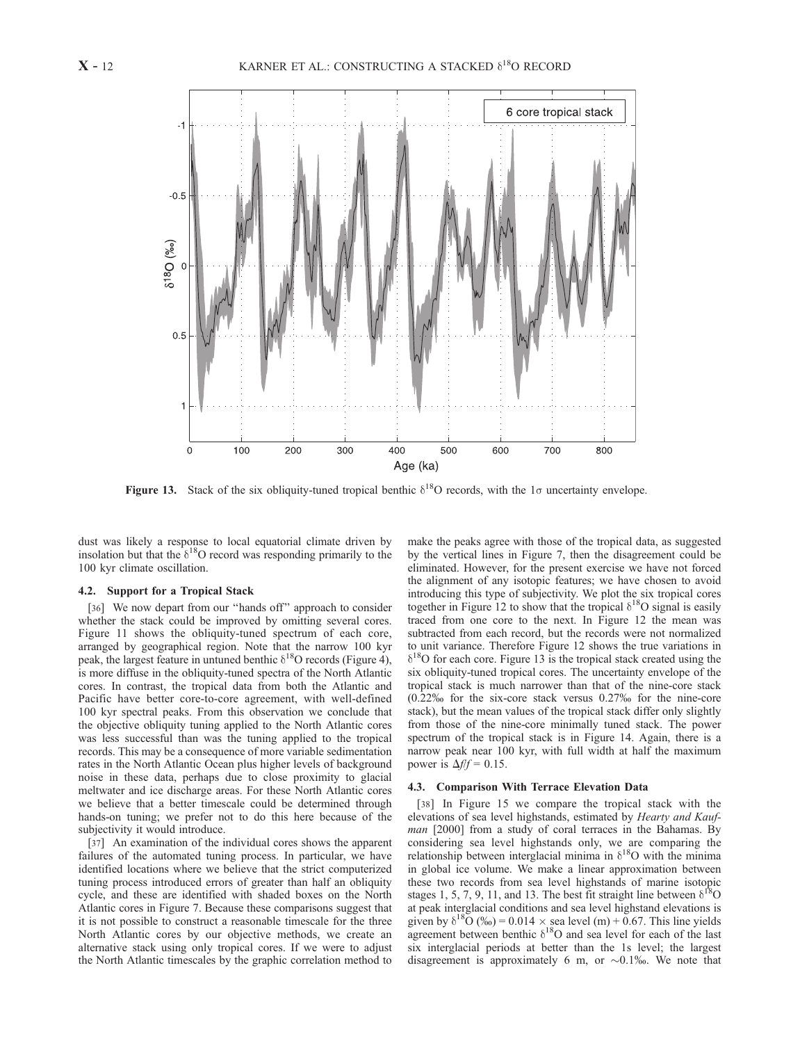

Figure 13. Stack of the six obliquity-tuned tropical benthic  $\delta^{18}O$  records, with the 1 $\sigma$  uncertainty envelope.

dust was likely a response to local equatorial climate driven by insolation but that the  $\delta^{18}$ O record was responding primarily to the 100 kyr climate oscillation.

#### 4.2. Support for a Tropical Stack

[36] We now depart from our "hands off" approach to consider whether the stack could be improved by omitting several cores. Figure 11 shows the obliquity-tuned spectrum of each core, arranged by geographical region. Note that the narrow 100 kyr peak, the largest feature in untuned benthic  $\delta^{18}O$  records (Figure 4), is more diffuse in the obliquity-tuned spectra of the North Atlantic cores. In contrast, the tropical data from both the Atlantic and Pacific have better core-to-core agreement, with well-defined 100 kyr spectral peaks. From this observation we conclude that the objective obliquity tuning applied to the North Atlantic cores was less successful than was the tuning applied to the tropical records. This may be a consequence of more variable sedimentation rates in the North Atlantic Ocean plus higher levels of background noise in these data, perhaps due to close proximity to glacial meltwater and ice discharge areas. For these North Atlantic cores we believe that a better timescale could be determined through hands-on tuning; we prefer not to do this here because of the subjectivity it would introduce.

[37] An examination of the individual cores shows the apparent failures of the automated tuning process. In particular, we have identified locations where we believe that the strict computerized tuning process introduced errors of greater than half an obliquity cycle, and these are identified with shaded boxes on the North Atlantic cores in Figure 7. Because these comparisons suggest that it is not possible to construct a reasonable timescale for the three North Atlantic cores by our objective methods, we create an alternative stack using only tropical cores. If we were to adjust the North Atlantic timescales by the graphic correlation method to

make the peaks agree with those of the tropical data, as suggested by the vertical lines in Figure 7, then the disagreement could be eliminated. However, for the present exercise we have not forced the alignment of any isotopic features; we have chosen to avoid introducing this type of subjectivity. We plot the six tropical cores together in Figure 12 to show that the tropical  $\delta^{18}O$  signal is easily traced from one core to the next. In Figure 12 the mean was subtracted from each record, but the records were not normalized to unit variance. Therefore Figure 12 shows the true variations in  $\delta^{18}$ O for each core. Figure 13 is the tropical stack created using the six obliquity-tuned tropical cores. The uncertainty envelope of the tropical stack is much narrower than that of the nine-core stack  $(0.22\%$  for the six-core stack versus  $0.27\%$  for the nine-core stack), but the mean values of the tropical stack differ only slightly from those of the nine-core minimally tuned stack. The power spectrum of the tropical stack is in Figure 14. Again, there is a narrow peak near 100 kyr, with full width at half the maximum power is  $\Delta f/f = 0.15$ .

#### 4.3. Comparison With Terrace Elevation Data

[38] In Figure 15 we compare the tropical stack with the elevations of sea level highstands, estimated by Hearty and Kaufman [2000] from a study of coral terraces in the Bahamas. By considering sea level highstands only, we are comparing the relationship between interglacial minima in  $\delta^{18}O$  with the minima in global ice volume. We make a linear approximation between these two records from sea level highstands of marine isotopic stages 1, 5, 7, 9, 11, and 13. The best fit straight line between  $\delta^{18}O$ at peak interglacial conditions and sea level highstand elevations is given by  $\delta^{18}O(9) = 0.014 \times \text{sea}$  level (m) + 0.67. This line yields agreement between benthic  $\delta^{18}$ O and sea level for each of the last six interglacial periods at better than the 1s level; the largest disagreement is approximately 6 m, or  $\sim 0.1\%$ . We note that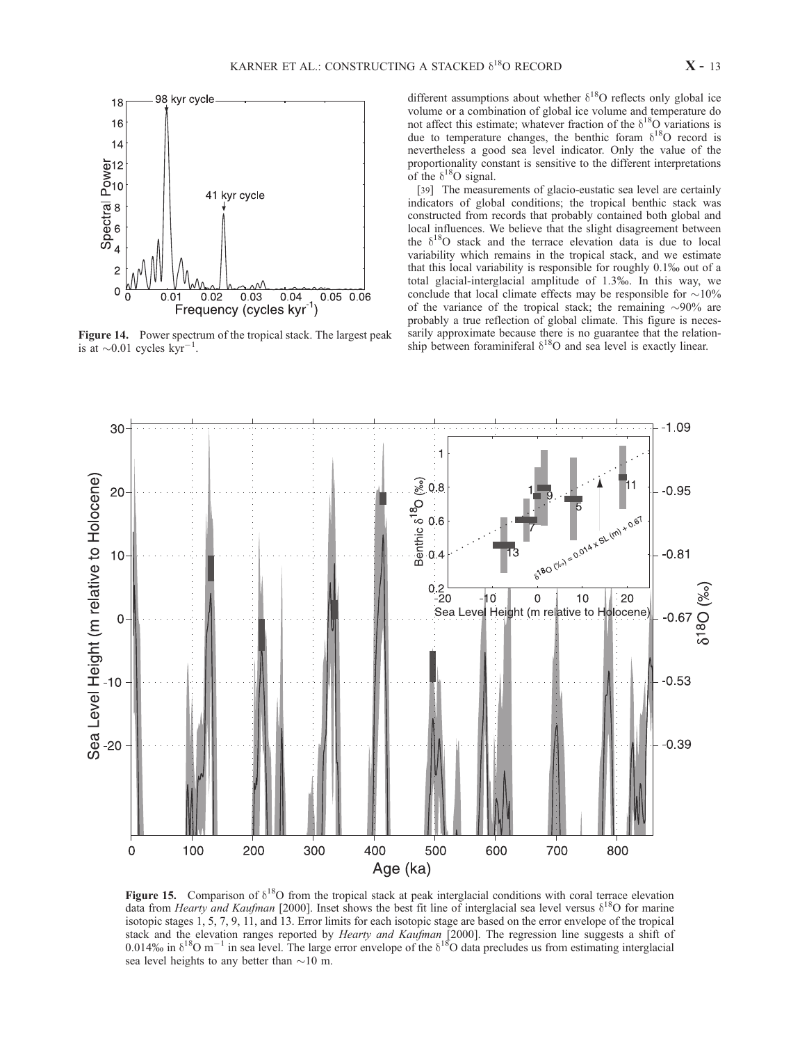

Figure 14. Power spectrum of the tropical stack. The largest peak is at  $\sim$ 0.01 cycles kyr<sup>-1</sup>.

different assumptions about whether  $\delta^{18}O$  reflects only global ice volume or a combination of global ice volume and temperature do not affect this estimate; whatever fraction of the  $\delta^{18}O$  variations is due to temperature changes, the benthic foram  $\delta^{18}O$  record is nevertheless a good sea level indicator. Only the value of the proportionality constant is sensitive to the different interpretations of the  $\delta^{18}O$  signal.

[39] The measurements of glacio-eustatic sea level are certainly indicators of global conditions; the tropical benthic stack was constructed from records that probably contained both global and local influences. We believe that the slight disagreement between the  $\delta^{18}$ O stack and the terrace elevation data is due to local variability which remains in the tropical stack, and we estimate that this local variability is responsible for roughly 0.1% out of a total glacial-interglacial amplitude of 1.3%. In this way, we conclude that local climate effects may be responsible for  $\sim$ 10% of the variance of the tropical stack; the remaining  $\sim 90\%$  are probably a true reflection of global climate. This figure is necessarily approximate because there is no guarantee that the relationship between foraminiferal  $\delta^{18}O$  and sea level is exactly linear.



Figure 15. Comparison of  $\delta^{18}O$  from the tropical stack at peak interglacial conditions with coral terrace elevation data from Hearty and Kaufman [2000]. Inset shows the best fit line of interglacial sea level versus  $\delta^{18}O$  for marine isotopic stages 1, 5, 7, 9, 11, and 13. Error limits for each isotopic stage are based on the error envelope of the tropical stack and the elevation ranges reported by *Hearty and Kaufman* [2000]. The regression line suggests a shift of 0.014% in  $\delta^{18}$ O m<sup>-1</sup> in sea level. The large error envelope of the  $\delta^{18}$ O data precludes us from estimating interglacial sea level heights to any better than  $\sim$ 10 m.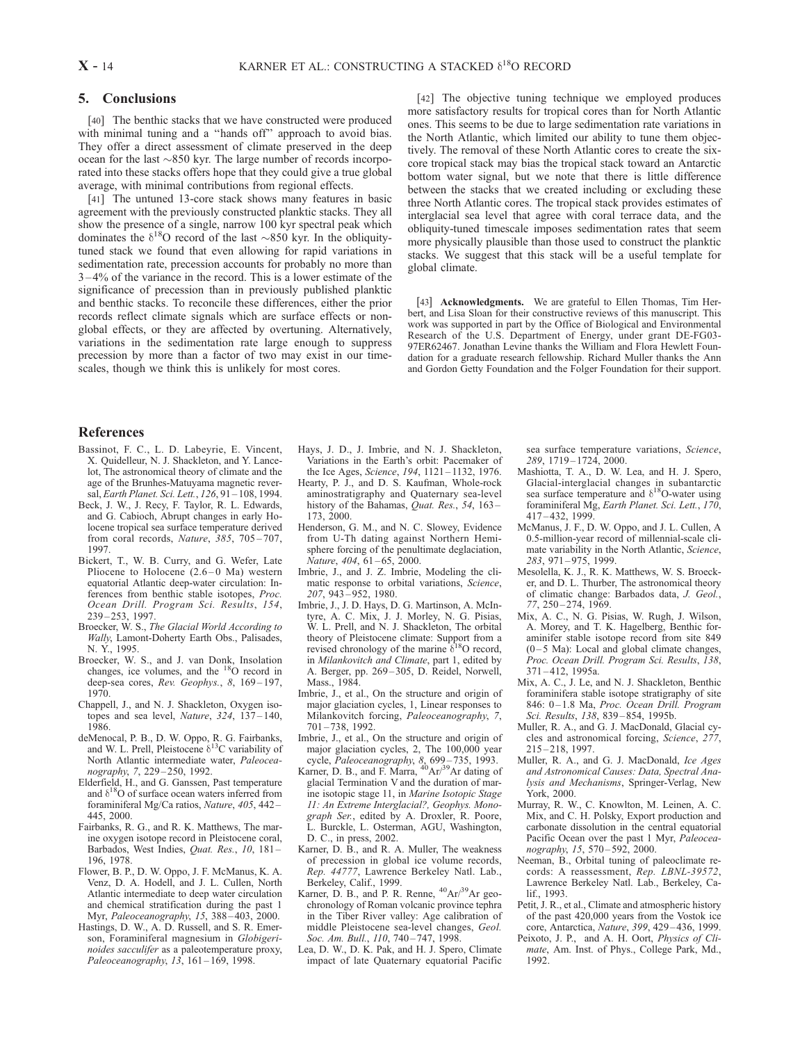# 5. Conclusions

[40] The benthic stacks that we have constructed were produced with minimal tuning and a ''hands off'' approach to avoid bias. They offer a direct assessment of climate preserved in the deep ocean for the last  $\sim 850$  kyr. The large number of records incorporated into these stacks offers hope that they could give a true global average, with minimal contributions from regional effects.

[41] The untuned 13-core stack shows many features in basic agreement with the previously constructed planktic stacks. They all show the presence of a single, narrow 100 kyr spectral peak which dominates the  $\delta^{18}$ O record of the last ~850 kyr. In the obliquitytuned stack we found that even allowing for rapid variations in sedimentation rate, precession accounts for probably no more than 3 – 4% of the variance in the record. This is a lower estimate of the significance of precession than in previously published planktic and benthic stacks. To reconcile these differences, either the prior records reflect climate signals which are surface effects or nonglobal effects, or they are affected by overtuning. Alternatively, variations in the sedimentation rate large enough to suppress precession by more than a factor of two may exist in our timescales, though we think this is unlikely for most cores.

[42] The objective tuning technique we employed produces more satisfactory results for tropical cores than for North Atlantic ones. This seems to be due to large sedimentation rate variations in the North Atlantic, which limited our ability to tune them objectively. The removal of these North Atlantic cores to create the sixcore tropical stack may bias the tropical stack toward an Antarctic bottom water signal, but we note that there is little difference between the stacks that we created including or excluding these three North Atlantic cores. The tropical stack provides estimates of interglacial sea level that agree with coral terrace data, and the obliquity-tuned timescale imposes sedimentation rates that seem more physically plausible than those used to construct the planktic stacks. We suggest that this stack will be a useful template for global climate.

[43] **Acknowledgments.** We are grateful to Ellen Thomas, Tim Herbert, and Lisa Sloan for their constructive reviews of this manuscript. This work was supported in part by the Office of Biological and Environmental Research of the U.S. Department of Energy, under grant DE-FG03- 97ER62467. Jonathan Levine thanks the William and Flora Hewlett Foundation for a graduate research fellowship. Richard Muller thanks the Ann and Gordon Getty Foundation and the Folger Foundation for their support.

# References

- Bassinot, F. C., L. D. Labeyrie, E. Vincent, X. Quidelleur, N. J. Shackleton, and Y. Lancelot, The astronomical theory of climate and the age of the Brunhes-Matuyama magnetic reversal, Earth Planet. Sci. Lett., 126, 91 – 108, 1994.
- Beck, J. W., J. Recy, F. Taylor, R. L. Edwards, and G. Cabioch, Abrupt changes in early Holocene tropical sea surface temperature derived from coral records, Nature, 385, 705-707, 1997.
- Bickert, T., W. B. Curry, and G. Wefer, Late Pliocene to Holocene  $(2.6-0$  Ma) western equatorial Atlantic deep-water circulation: Inferences from benthic stable isotopes, Proc. Ocean Drill. Program Sci. Results, 154, 239 – 253, 1997.
- Broecker, W. S., The Glacial World According to Wally, Lamont-Doherty Earth Obs., Palisades, N. Y., 1995.
- Broecker, W. S., and J. van Donk, Insolation changes, ice volumes, and the <sup>18</sup>O record in deep-sea cores, Rev. Geophys., 8, 169-197, 1970.
- Chappell, J., and N. J. Shackleton, Oxygen isotopes and sea level, Nature,  $324$ ,  $137-140$ , 1986.
- deMenocal, P. B., D. W. Oppo, R. G. Fairbanks, and W. L. Prell, Pleistocene  $\delta^{13}$ C variability of North Atlantic intermediate water, Paleoceanography, 7, 229 – 250, 1992.
- Elderfield, H., and G. Ganssen, Past temperature and  $\delta^{18}$ O of surface ocean waters inferred from foraminiferal Mg/Ca ratios, Nature, 405, 442 – 445, 2000.
- Fairbanks, R. G., and R. K. Matthews, The marine oxygen isotope record in Pleistocene coral, Barbados, West Indies, Quat. Res., 10, 181 – 196, 1978.
- Flower, B. P., D. W. Oppo, J. F. McManus, K. A. Venz, D. A. Hodell, and J. L. Cullen, North Atlantic intermediate to deep water circulation and chemical stratification during the past 1 Myr, Paleoceanography, 15, 388 – 403, 2000.
- Hastings, D. W., A. D. Russell, and S. R. Emerson, Foraminiferal magnesium in Globigerinoides sacculifer as a paleotemperature proxy, Paleoceanography, 13, 161-169, 1998.
- Hays, J. D., J. Imbrie, and N. J. Shackleton, Variations in the Earth's orbit: Pacemaker of the Ice Ages, Science, 194, 1121 – 1132, 1976.
- Hearty, P. J., and D. S. Kaufman, Whole-rock aminostratigraphy and Quaternary sea-level history of the Bahamas, Quat. Res., 54, 163-173, 2000.
- Henderson, G. M., and N. C. Slowey, Evidence from U-Th dating against Northern Hemisphere forcing of the penultimate deglaciation, Nature, 404, 61–65, 2000.
- Imbrie, J., and J. Z. Imbrie, Modeling the climatic response to orbital variations, Science, 207, 943 – 952, 1980.
- Imbrie, J., J. D. Hays, D. G. Martinson, A. McIntyre, A. C. Mix, J. J. Morley, N. G. Pisias, W. L. Prell, and N. J. Shackleton, The orbital theory of Pleistocene climate: Support from a revised chronology of the marine  $\delta^{18}O$  record, in Milankovitch and Climate, part 1, edited by A. Berger, pp. 269 – 305, D. Reidel, Norwell, Mass., 1984.
- Imbrie, J., et al., On the structure and origin of major glaciation cycles, 1, Linear responses to Milankovitch forcing, Paleoceanography, 7, 701 – 738, 1992.
- Imbrie, J., et al., On the structure and origin of major glaciation cycles, 2, The 100,000 year
- cycle, *Paleoceanography*, 8, 699–735, 1993.<br>Karner, D. B., and F. Marra, <sup>40</sup>Ar/<sup>39</sup>Ar dating of glacial Termination V and the duration of marine isotopic stage 11, in Marine Isotopic Stage 11: An Extreme Interglacial?, Geophys. Monograph Ser., edited by A. Droxler, R. Poore, L. Burckle, L. Osterman, AGU, Washington, D. C., in press, 2002.
- Karner, D. B., and R. A. Muller, The weakness of precession in global ice volume records, Rep. 44777, Lawrence Berkeley Natl. Lab., Berkeley, Calif., 1999.
- Karner, D. B., and P. R. Renne,  $^{40}Ar/^{39}Ar$  geochronology of Roman volcanic province tephra in the Tiber River valley: Age calibration of middle Pleistocene sea-level changes, Geol. Soc. Am. Bull., 110, 740-747, 1998.
- Lea, D. W., D. K. Pak, and H. J. Spero, Climate impact of late Quaternary equatorial Pacific

sea surface temperature variations, Science, 289, 1719 – 1724, 2000.

- Mashiotta, T. A., D. W. Lea, and H. J. Spero, Glacial-interglacial changes in subantarctic sea surface temperature and  $\delta^{18}$ O-water using foraminiferal Mg, Earth Planet. Sci. Lett., 170, 417 – 432, 1999.
- McManus, J. F., D. W. Oppo, and J. L. Cullen, A 0.5-million-year record of millennial-scale climate variability in the North Atlantic, Science, 283, 971 – 975, 1999.
- Mesolella, K. J., R. K. Matthews, W. S. Broecker, and D. L. Thurber, The astronomical theory of climatic change: Barbados data, J. Geol., 77, 250 – 274, 1969.
- Mix, A. C., N. G. Pisias, W. Rugh, J. Wilson, A. Morey, and T. K. Hagelberg, Benthic foraminifer stable isotope record from site 849  $(0 - 5$  Ma): Local and global climate changes, Proc. Ocean Drill. Program Sci. Results, 138, 371 – 412, 1995a.
- Mix, A. C., J. Le, and N. J. Shackleton, Benthic foraminifera stable isotope stratigraphy of site 846: 0-1.8 Ma, Proc. Ocean Drill. Program Sci. Results, 138, 839-854, 1995b.
- Muller, R. A., and G. J. MacDonald, Glacial cycles and astronomical forcing, Science, 277, 215 – 218, 1997.
- Muller, R. A., and G. J. MacDonald, Ice Ages and Astronomical Causes: Data, Spectral Analysis and Mechanisms, Springer-Verlag, New York, 2000.
- Murray, R. W., C. Knowlton, M. Leinen, A. C. Mix, and C. H. Polsky, Export production and carbonate dissolution in the central equatorial Pacific Ocean over the past 1 Myr, Paleoceanography, 15, 570-592, 2000.
- Neeman, B., Orbital tuning of paleoclimate records: A reassessment, Rep. LBNL-39572, Lawrence Berkeley Natl. Lab., Berkeley, Calif., 1993.
- Petit, J. R., et al., Climate and atmospheric history of the past 420,000 years from the Vostok ice core, Antarctica, Nature, 399, 429 – 436, 1999.
- Peixoto, J. P., and A. H. Oort, Physics of Climate, Am. Inst. of Phys., College Park, Md., 1992.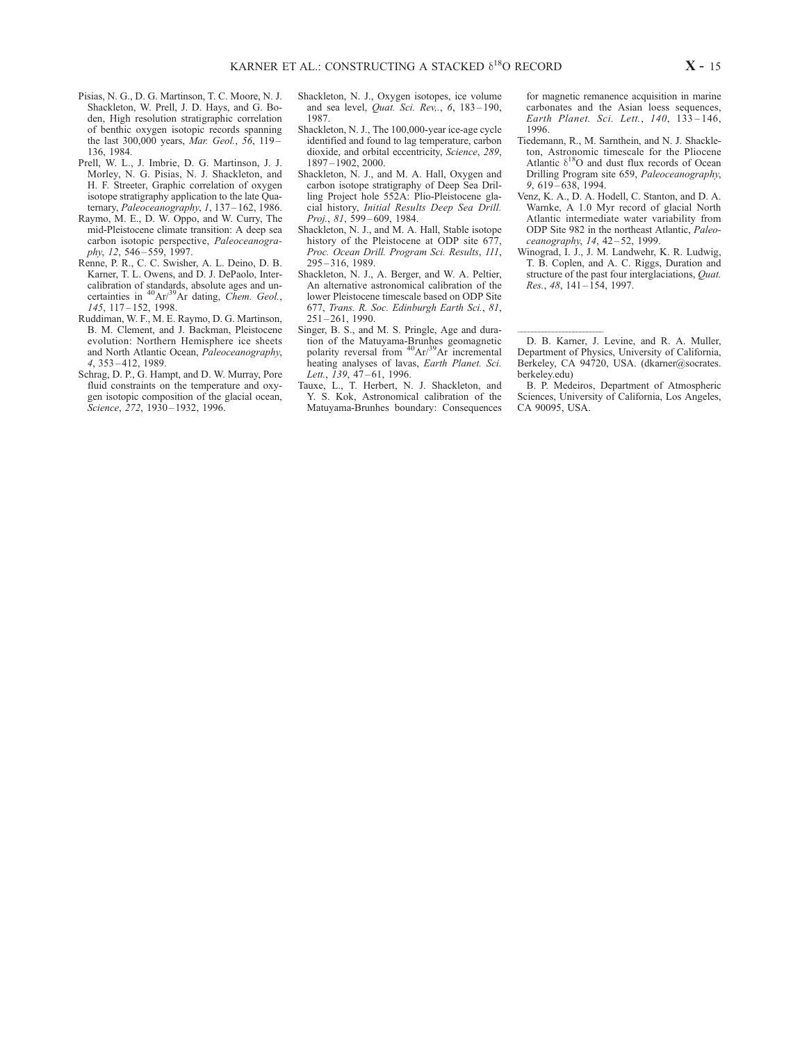- Pisias, N. G., D. G. Martinson, T. C. Moore, N. J. Shackleton, W. Prell, J. D. Hays, and G. Boden, High resolution stratigraphic correlation of benthic oxygen isotopic records spanning the last 300,000 years, Mar. Geol., 56, 119-136, 1984.
- Prell, W. L., J. Imbrie, D. G. Martinson, J. J. Morley, N. G. Pisias, N. J. Shackleton, and H. F. Streeter, Graphic correlation of oxygen isotope stratigraphy application to the late Quaternary, Paleoceanography, 1, 137-162, 1986.
- Raymo, M. E., D. W. Oppo, and W. Curry, The mid-Pleistocene climate transition: A deep sea carbon isotopic perspective, Paleoceanography, 12, 546-559, 1997.
- Renne, P. R., C. C. Swisher, A. L. Deino, D. B. Karner, T. L. Owens, and D. J. DePaolo, Intercalibration of standards, absolute ages and uncertainties in  $^{40}Ar/^{39}Ar$  dating, *Chem. Geol.*, 145, 117 – 152, 1998.
- Ruddiman, W. F., M. E. Raymo, D. G. Martinson, B. M. Clement, and J. Backman, Pleistocene evolution: Northern Hemisphere ice sheets and North Atlantic Ocean, Paleoceanography, 4, 353 – 412, 1989.
- Schrag, D. P., G. Hampt, and D. W. Murray, Pore fluid constraints on the temperature and oxygen isotopic composition of the glacial ocean, Science, 272, 1930–1932, 1996.
- Shackleton, N. J., Oxygen isotopes, ice volume and sea level, Quat. Sci. Rev,., 6, 183 – 190, 1987.
- Shackleton, N. J., The 100,000-year ice-age cycle identified and found to lag temperature, carbon dioxide, and orbital eccentricity, Science, 289, 1897 – 1902, 2000.
- Shackleton, N. J., and M. A. Hall, Oxygen and carbon isotope stratigraphy of Deep Sea Drilling Project hole 552A: Plio-Pleistocene glacial history, Initial Results Deep Sea Drill. Proj., 81, 599-609, 1984.
- Shackleton, N. J., and M. A. Hall, Stable isotope history of the Pleistocene at ODP site 677, Proc. Ocean Drill. Program Sci. Results, 111, 295 – 316, 1989.
- Shackleton, N. J., A. Berger, and W. A. Peltier, An alternative astronomical calibration of the lower Pleistocene timescale based on ODP Site 677, Trans. R. Soc. Edinburgh Earth Sci., 81,  $251 - 261$ , 1990.
- Singer, B. S., and M. S. Pringle, Age and duration of the Matuyama-Brunhes geomagnetic polarity reversal from  ${}^{40}Ar/{}^{39}Ar$  incremental heating analyses of lavas, Earth Planet. Sci. Lett., 139, 47-61, 1996.
- Tauxe, L., T. Herbert, N. J. Shackleton, and Y. S. Kok, Astronomical calibration of the Matuyama-Brunhes boundary: Consequences

for magnetic remanence acquisition in marine carbonates and the Asian loess sequences, Earth Planet. Sci. Lett., 140, 133-146, 1996.

- Tiedemann, R., M. Sarnthein, and N. J. Shackleton, Astronomic timescale for the Pliocene Atlantic  $\delta^{18}$ O and dust flux records of Ocean Drilling Program site 659, Paleoceanography,  $9,619-638,1994.$
- Venz, K. A., D. A. Hodell, C. Stanton, and D. A. Warnke, A 1.0 Myr record of glacial North Atlantic intermediate water variability from ODP Site 982 in the northeast Atlantic, Paleoceanography, 14, 42-52, 1999.
- Winograd, I. J., J. M. Landwehr, K. R. Ludwig, T. B. Coplen, and A. C. Riggs, Duration and structure of the past four interglaciations, *Quat.* Res.,  $48$ ,  $141 - \overline{1}54$ , 1997.

--D. B. Karner, J. Levine, and R. A. Muller, Department of Physics, University of California, Berkeley, CA 94720, USA. (dkarner@socrates. berkeley.edu)

B. P. Medeiros, Department of Atmospheric Sciences, University of California, Los Angeles, CA 90095, USA.